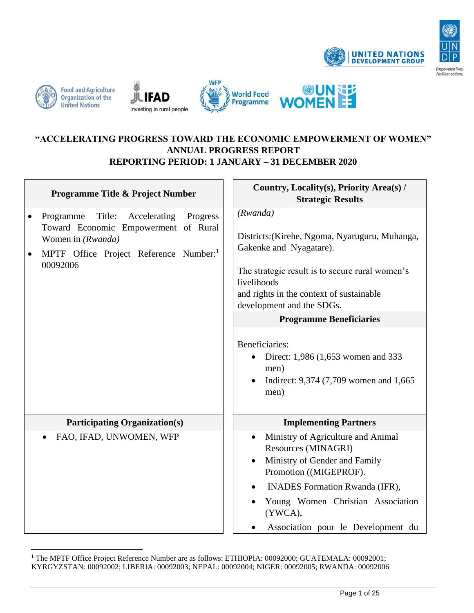











|           | <b>Programme Title &amp; Project Number</b>                                                                                                                              | Country, Locality(s), Priority Area(s) /<br><b>Strategic Results</b>                                                                                                                                                                                                                                                                                                                  |
|-----------|--------------------------------------------------------------------------------------------------------------------------------------------------------------------------|---------------------------------------------------------------------------------------------------------------------------------------------------------------------------------------------------------------------------------------------------------------------------------------------------------------------------------------------------------------------------------------|
| $\bullet$ | Programme Title: Accelerating<br>Progress<br>Toward Economic Empowerment of Rural<br>Women in (Rwanda)<br>MPTF Office Project Reference Number: <sup>1</sup><br>00092006 | (Rwanda)<br>Districts: (Kirehe, Ngoma, Nyaruguru, Muhanga,<br>Gakenke and Nyagatare).<br>The strategic result is to secure rural women's<br>livelihoods<br>and rights in the context of sustainable<br>development and the SDGs.<br><b>Programme Beneficiaries</b><br>Beneficiaries:<br>Direct: 1,986 (1,653 women and 333<br>men)<br>Indirect: 9,374 (7,709 women and 1,665)<br>men) |
|           | <b>Participating Organization(s)</b>                                                                                                                                     | <b>Implementing Partners</b>                                                                                                                                                                                                                                                                                                                                                          |
|           | FAO, IFAD, UNWOMEN, WFP                                                                                                                                                  | Ministry of Agriculture and Animal<br>$\bullet$<br>Resources (MINAGRI)<br>Ministry of Gender and Family<br>Promotion ((MIGEPROF).<br><b>INADES Formation Rwanda (IFR),</b><br>$\bullet$<br>Young Women Christian Association<br>$\bullet$<br>(YWCA),<br>Association pour le Development du                                                                                            |

<sup>&</sup>lt;sup>1</sup> The MPTF Office Project Reference Number are as follows: ETHIOPIA: 00092000; GUATEMALA: 00092001; KYRGYZSTAN: 00092002; LIBERIA: 00092003; NEPAL: 00092004; NIGER: 00092005; RWANDA: 00092006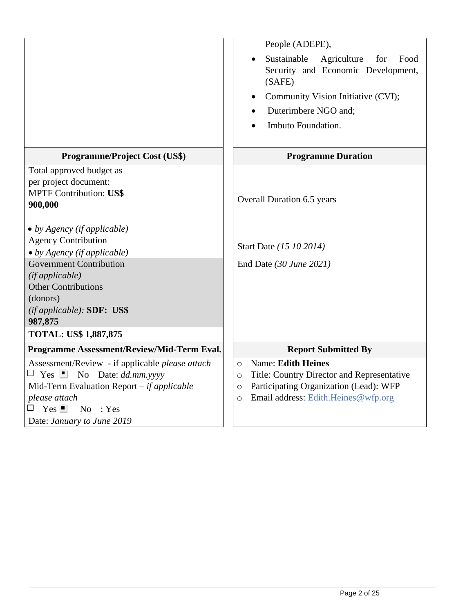|                                                                                                                                                                                                                                                                                                                                                                                       | People (ADEPE),<br>Sustainable<br>Agriculture<br>for<br>Food<br>Security and Economic Development,<br>(SAFE)<br>Community Vision Initiative (CVI);<br>Duterimbere NGO and;<br>Imbuto Foundation.     |  |
|---------------------------------------------------------------------------------------------------------------------------------------------------------------------------------------------------------------------------------------------------------------------------------------------------------------------------------------------------------------------------------------|------------------------------------------------------------------------------------------------------------------------------------------------------------------------------------------------------|--|
| <b>Programme/Project Cost (US\$)</b>                                                                                                                                                                                                                                                                                                                                                  | <b>Programme Duration</b>                                                                                                                                                                            |  |
| Total approved budget as<br>per project document:<br><b>MPTF Contribution: US\$</b><br>900,000<br>$\bullet$ by Agency (if applicable)<br><b>Agency Contribution</b><br>$\bullet$ by Agency (if applicable)<br><b>Government Contribution</b><br>(if applicable)<br><b>Other Contributions</b><br>(donors)<br>$(if\,applied\,)$ : SDF: US\$<br>987,875<br><b>TOTAL: US\$ 1,887,875</b> | Overall Duration 6.5 years<br>Start Date (15 10 2014)<br>End Date $(30 \text{ June } 2021)$                                                                                                          |  |
| Programme Assessment/Review/Mid-Term Eval.                                                                                                                                                                                                                                                                                                                                            | <b>Report Submitted By</b>                                                                                                                                                                           |  |
| Assessment/Review - if applicable please attach<br>$\Box$ Yes $\Box$ No Date: dd.mm.yyyy<br>Mid-Term Evaluation Report $-$ if applicable<br>please attach<br>$Yes \nightharpoonup$<br>$No$ : Yes<br>Date: January to June 2019                                                                                                                                                        | <b>Name: Edith Heines</b><br>$\circ$<br>Title: Country Director and Representative<br>$\circ$<br>Participating Organization (Lead): WFP<br>$\circ$<br>Email address: Edith.Heines@wfp.org<br>$\circ$ |  |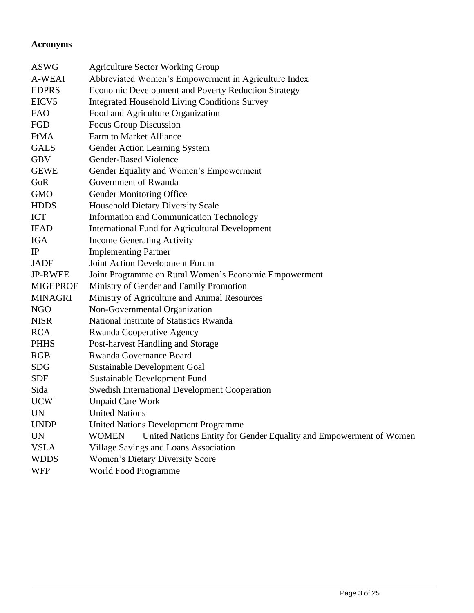## **Acronyms**

| <b>ASWG</b>       | <b>Agriculture Sector Working Group</b>                                            |
|-------------------|------------------------------------------------------------------------------------|
| A-WEAI            | Abbreviated Women's Empowerment in Agriculture Index                               |
| <b>EDPRS</b>      | Economic Development and Poverty Reduction Strategy                                |
| EICV <sub>5</sub> | <b>Integrated Household Living Conditions Survey</b>                               |
| <b>FAO</b>        | Food and Agriculture Organization                                                  |
| FGD               | <b>Focus Group Discussion</b>                                                      |
| FtMA              | <b>Farm to Market Alliance</b>                                                     |
| <b>GALS</b>       | Gender Action Learning System                                                      |
| <b>GBV</b>        | Gender-Based Violence                                                              |
| <b>GEWE</b>       | Gender Equality and Women's Empowerment                                            |
| GoR               | Government of Rwanda                                                               |
| <b>GMO</b>        | Gender Monitoring Office                                                           |
| <b>HDDS</b>       | <b>Household Dietary Diversity Scale</b>                                           |
| <b>ICT</b>        | <b>Information and Communication Technology</b>                                    |
| <b>IFAD</b>       | <b>International Fund for Agricultural Development</b>                             |
| <b>IGA</b>        | <b>Income Generating Activity</b>                                                  |
| IP                | <b>Implementing Partner</b>                                                        |
| <b>JADF</b>       | Joint Action Development Forum                                                     |
| <b>JP-RWEE</b>    | Joint Programme on Rural Women's Economic Empowerment                              |
| <b>MIGEPROF</b>   | Ministry of Gender and Family Promotion                                            |
| <b>MINAGRI</b>    | Ministry of Agriculture and Animal Resources                                       |
| <b>NGO</b>        | Non-Governmental Organization                                                      |
| <b>NISR</b>       | National Institute of Statistics Rwanda                                            |
| <b>RCA</b>        | Rwanda Cooperative Agency                                                          |
| <b>PHHS</b>       | Post-harvest Handling and Storage                                                  |
| <b>RGB</b>        | Rwanda Governance Board                                                            |
| <b>SDG</b>        | <b>Sustainable Development Goal</b>                                                |
| <b>SDF</b>        | <b>Sustainable Development Fund</b>                                                |
| Sida              | <b>Swedish International Development Cooperation</b>                               |
| <b>UCW</b>        | <b>Unpaid Care Work</b>                                                            |
| <b>UN</b>         | <b>United Nations</b>                                                              |
| <b>UNDP</b>       | <b>United Nations Development Programme</b>                                        |
| <b>UN</b>         | United Nations Entity for Gender Equality and Empowerment of Women<br><b>WOMEN</b> |
| <b>VSLA</b>       | Village Savings and Loans Association                                              |
| <b>WDDS</b>       | Women's Dietary Diversity Score                                                    |
| WFP               | World Food Programme                                                               |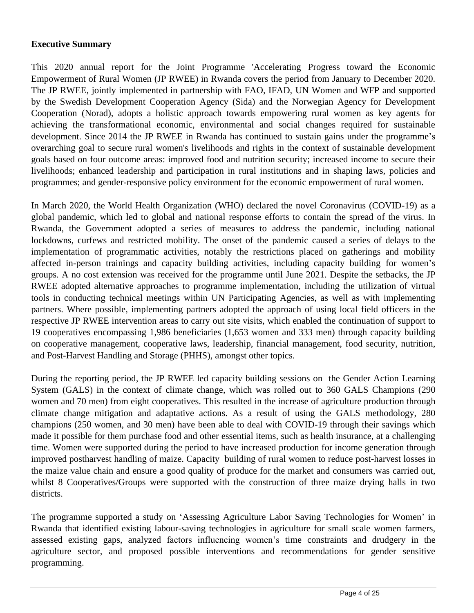#### **Executive Summary**

This 2020 annual report for the Joint Programme 'Accelerating Progress toward the Economic Empowerment of Rural Women (JP RWEE) in Rwanda covers the period from January to December 2020. The JP RWEE, jointly implemented in partnership with FAO, IFAD, UN Women and WFP and supported by the Swedish Development Cooperation Agency (Sida) and the Norwegian Agency for Development Cooperation (Norad), adopts a holistic approach towards empowering rural women as key agents for achieving the transformational economic, environmental and social changes required for sustainable development. Since 2014 the JP RWEE in Rwanda has continued to sustain gains under the programme's overarching goal to secure rural women's livelihoods and rights in the context of sustainable development goals based on four outcome areas: improved food and nutrition security; increased income to secure their livelihoods; enhanced leadership and participation in rural institutions and in shaping laws, policies and programmes; and gender-responsive policy environment for the economic empowerment of rural women.

In March 2020, the World Health Organization (WHO) declared the novel Coronavirus (COVID-19) as a global pandemic, which led to global and national response efforts to contain the spread of the virus. In Rwanda, the Government adopted a series of measures to address the pandemic, including national lockdowns, curfews and restricted mobility. The onset of the pandemic caused a series of delays to the implementation of programmatic activities, notably the restrictions placed on gatherings and mobility affected in-person trainings and capacity building activities, including capacity building for women's groups. A no cost extension was received for the programme until June 2021. Despite the setbacks, the JP RWEE adopted alternative approaches to programme implementation, including the utilization of virtual tools in conducting technical meetings within UN Participating Agencies, as well as with implementing partners. Where possible, implementing partners adopted the approach of using local field officers in the respective JP RWEE intervention areas to carry out site visits, which enabled the continuation of support to 19 cooperatives encompassing 1,986 beneficiaries (1,653 women and 333 men) through capacity building on cooperative management, cooperative laws, leadership, financial management, food security, nutrition, and Post-Harvest Handling and Storage (PHHS), amongst other topics.

During the reporting period, the JP RWEE led capacity building sessions on the Gender Action Learning System (GALS) in the context of climate change, which was rolled out to 360 GALS Champions (290 women and 70 men) from eight cooperatives. This resulted in the increase of agriculture production through climate change mitigation and adaptative actions. As a result of using the GALS methodology, 280 champions (250 women, and 30 men) have been able to deal with COVID-19 through their savings which made it possible for them purchase food and other essential items, such as health insurance, at a challenging time. Women were supported during the period to have increased production for income generation through improved postharvest handling of maize. Capacity building of rural women to reduce post-harvest losses in the maize value chain and ensure a good quality of produce for the market and consumers was carried out, whilst 8 Cooperatives/Groups were supported with the construction of three maize drying halls in two districts.

The programme supported a study on 'Assessing Agriculture Labor Saving Technologies for Women' in Rwanda that identified existing labour-saving technologies in agriculture for small scale women farmers, assessed existing gaps, analyzed factors influencing women's time constraints and drudgery in the agriculture sector, and proposed possible interventions and recommendations for gender sensitive programming.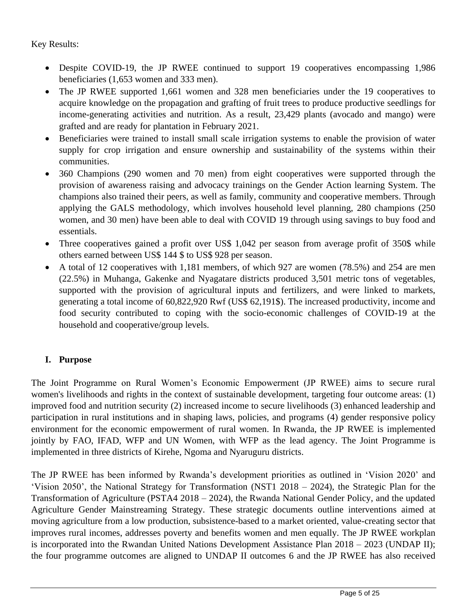Key Results:

- Despite COVID-19, the JP RWEE continued to support 19 cooperatives encompassing 1,986 beneficiaries (1,653 women and 333 men).
- The JP RWEE supported 1,661 women and 328 men beneficiaries under the 19 cooperatives to acquire knowledge on the propagation and grafting of fruit trees to produce productive seedlings for income-generating activities and nutrition. As a result, 23,429 plants (avocado and mango) were grafted and are ready for plantation in February 2021.
- Beneficiaries were trained to install small scale irrigation systems to enable the provision of water supply for crop irrigation and ensure ownership and sustainability of the systems within their communities.
- 360 Champions (290 women and 70 men) from eight cooperatives were supported through the provision of awareness raising and advocacy trainings on the Gender Action learning System. The champions also trained their peers, as well as family, community and cooperative members. Through applying the GALS methodology, which involves household level planning, 280 champions (250 women, and 30 men) have been able to deal with COVID 19 through using savings to buy food and essentials.
- Three cooperatives gained a profit over US\$ 1,042 per season from average profit of 350\$ while others earned between US\$ 144 \$ to US\$ 928 per season.
- A total of 12 cooperatives with 1,181 members, of which 927 are women (78.5%) and 254 are men (22.5%) in Muhanga, Gakenke and Nyagatare districts produced 3,501 metric tons of vegetables, supported with the provision of agricultural inputs and fertilizers, and were linked to markets, generating a total income of 60,822,920 Rwf (US\$ 62,191\$). The increased productivity, income and food security contributed to coping with the socio-economic challenges of COVID-19 at the household and cooperative/group levels.

## **I. Purpose**

The Joint Programme on Rural Women's Economic Empowerment (JP RWEE) aims to secure rural women's livelihoods and rights in the context of sustainable development, targeting four outcome areas: (1) improved food and nutrition security (2) increased income to secure livelihoods (3) enhanced leadership and participation in rural institutions and in shaping laws, policies, and programs (4) gender responsive policy environment for the economic empowerment of rural women. In Rwanda, the JP RWEE is implemented jointly by FAO, IFAD, WFP and UN Women, with WFP as the lead agency. The Joint Programme is implemented in three districts of Kirehe, Ngoma and Nyaruguru districts.

The JP RWEE has been informed by Rwanda's development priorities as outlined in 'Vision 2020' and 'Vision 2050', the National Strategy for Transformation (NST1 2018 – 2024), the Strategic Plan for the Transformation of Agriculture (PSTA4 2018 – 2024), the Rwanda National Gender Policy, and the updated Agriculture Gender Mainstreaming Strategy. These strategic documents outline interventions aimed at moving agriculture from a low production, subsistence-based to a market oriented, value-creating sector that improves rural incomes, addresses poverty and benefits women and men equally. The JP RWEE workplan is incorporated into the Rwandan United Nations Development Assistance Plan 2018 – 2023 (UNDAP II); the four programme outcomes are aligned to UNDAP II outcomes 6 and the JP RWEE has also received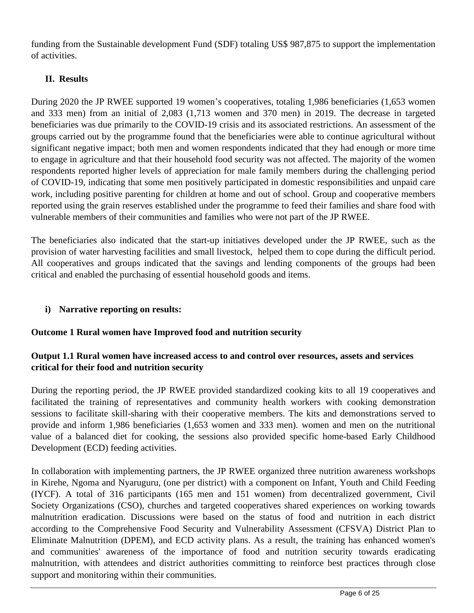funding from the Sustainable development Fund (SDF) totaling US\$ 987,875 to support the implementation of activities.

## **II. Results**

During 2020 the JP RWEE supported 19 women's cooperatives, totaling 1,986 beneficiaries (1,653 women and 333 men) from an initial of 2,083 (1,713 women and 370 men) in 2019. The decrease in targeted beneficiaries was due primarily to the COVID-19 crisis and its associated restrictions. An assessment of the groups carried out by the programme found that the beneficiaries were able to continue agricultural without significant negative impact; both men and women respondents indicated that they had enough or more time to engage in agriculture and that their household food security was not affected. The majority of the women respondents reported higher levels of appreciation for male family members during the challenging period of COVID-19, indicating that some men positively participated in domestic responsibilities and unpaid care work, including positive parenting for children at home and out of school. Group and cooperative members reported using the grain reserves established under the programme to feed their families and share food with vulnerable members of their communities and families who were not part of the JP RWEE.

The beneficiaries also indicated that the start-up initiatives developed under the JP RWEE, such as the provision of water harvesting facilities and small livestock, helped them to cope during the difficult period. All cooperatives and groups indicated that the savings and lending components of the groups had been critical and enabled the purchasing of essential household goods and items.

## **i) Narrative reporting on results:**

## **Outcome 1 Rural women have Improved food and nutrition security**

## **Output 1.1 Rural women have increased access to and control over resources, assets and services critical for their food and nutrition security**

During the reporting period, the JP RWEE provided standardized cooking kits to all 19 cooperatives and facilitated the training of representatives and community health workers with cooking demonstration sessions to facilitate skill-sharing with their cooperative members. The kits and demonstrations served to provide and inform 1,986 beneficiaries (1,653 women and 333 men). women and men on the nutritional value of a balanced diet for cooking, the sessions also provided specific home-based Early Childhood Development (ECD) feeding activities.

In collaboration with implementing partners, the JP RWEE organized three nutrition awareness workshops in Kirehe, Ngoma and Nyaruguru, (one per district) with a component on Infant, Youth and Child Feeding (IYCF). A total of 316 participants (165 men and 151 women) from decentralized government, Civil Society Organizations (CSO), churches and targeted cooperatives shared experiences on working towards malnutrition eradication. Discussions were based on the status of food and nutrition in each district according to the Comprehensive Food Security and Vulnerability Assessment (CFSVA) District Plan to Eliminate Malnutrition (DPEM), and ECD activity plans. As a result, the training has enhanced women's and communities' awareness of the importance of food and nutrition security towards eradicating malnutrition, with attendees and district authorities committing to reinforce best practices through close support and monitoring within their communities.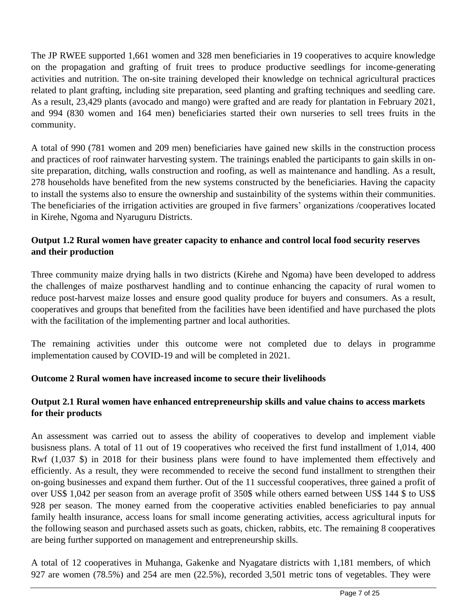The JP RWEE supported 1,661 women and 328 men beneficiaries in 19 cooperatives to acquire knowledge on the propagation and grafting of fruit trees to produce productive seedlings for income-generating activities and nutrition. The on-site training developed their knowledge on technical agricultural practices related to plant grafting, including site preparation, seed planting and grafting techniques and seedling care. As a result, 23,429 plants (avocado and mango) were grafted and are ready for plantation in February 2021, and 994 (830 women and 164 men) beneficiaries started their own nurseries to sell trees fruits in the community.

A total of 990 (781 women and 209 men) beneficiaries have gained new skills in the construction process and practices of roof rainwater harvesting system. The trainings enabled the participants to gain skills in onsite preparation, ditching, walls construction and roofing, as well as maintenance and handling. As a result, 278 households have benefited from the new systems constructed by the beneficiaries. Having the capacity to install the systems also to ensure the ownership and sustainbility of the systems within their communities. The beneficiaries of the irrigation activities are grouped in five farmers' organizations /cooperatives located in Kirehe, Ngoma and Nyaruguru Districts.

## **Output 1.2 Rural women have greater capacity to enhance and control local food security reserves and their production**

Three community maize drying halls in two districts (Kirehe and Ngoma) have been developed to address the challenges of maize postharvest handling and to continue enhancing the capacity of rural women to reduce post-harvest maize losses and ensure good quality produce for buyers and consumers. As a result, cooperatives and groups that benefited from the facilities have been identified and have purchased the plots with the facilitation of the implementing partner and local authorities.

The remaining activities under this outcome were not completed due to delays in programme implementation caused by COVID-19 and will be completed in 2021.

## **Outcome 2 Rural women have increased income to secure their livelihoods**

## **Output 2.1 Rural women have enhanced entrepreneurship skills and value chains to access markets for their products**

An assessment was carried out to assess the ability of cooperatives to develop and implement viable busisness plans. A total of 11 out of 19 cooperatives who received the first fund installment of 1,014, 400 Rwf (1,037 \$) in 2018 for their business plans were found to have implemented them effectively and efficiently. As a result, they were recommended to receive the second fund installment to strengthen their on-going businesses and expand them further. Out of the 11 successful cooperatives, three gained a profit of over US\$ 1,042 per season from an average profit of 350\$ while others earned between US\$ 144 \$ to US\$ 928 per season. The money earned from the cooperative activities enabled beneficiaries to pay annual family health insurance, access loans for small income generating activities, access agricultural inputs for the following season and purchased assets such as goats, chicken, rabbits, etc. The remaining 8 cooperatives are being further supported on management and entrepreneurship skills.

A total of 12 cooperatives in Muhanga, Gakenke and Nyagatare districts with 1,181 members, of which 927 are women (78.5%) and 254 are men (22.5%), recorded 3,501 metric tons of vegetables. They were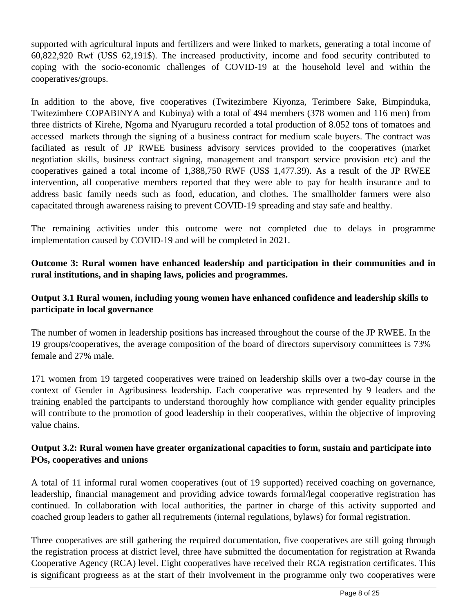supported with agricultural inputs and fertilizers and were linked to markets, generating a total income of 60,822,920 Rwf (US\$ 62,191\$). The increased productivity, income and food security contributed to coping with the socio-economic challenges of COVID-19 at the household level and within the cooperatives/groups.

In addition to the above, five cooperatives (Twitezimbere Kiyonza, Terimbere Sake, Bimpinduka, Twitezimbere COPABINYA and Kubinya) with a total of 494 members (378 women and 116 men) from three districts of Kirehe, Ngoma and Nyaruguru recorded a total production of 8.052 tons of tomatoes and accessed markets through the signing of a business contract for medium scale buyers. The contract was faciliated as result of JP RWEE business advisory services provided to the cooperatives (market negotiation skills, business contract signing, management and transport service provision etc) and the cooperatives gained a total income of 1,388,750 RWF (US\$ 1,477.39). As a result of the JP RWEE intervention, all cooperative members reported that they were able to pay for health insurance and to address basic family needs such as food, education, and clothes. The smallholder farmers were also capacitated through awareness raising to prevent COVID-19 spreading and stay safe and healthy.

The remaining activities under this outcome were not completed due to delays in programme implementation caused by COVID-19 and will be completed in 2021.

**Outcome 3: Rural women have enhanced leadership and participation in their communities and in rural institutions, and in shaping laws, policies and programmes.** 

## **Output 3.1 Rural women, including young women have enhanced confidence and leadership skills to participate in local governance**

The number of women in leadership positions has increased throughout the course of the JP RWEE. In the 19 groups/cooperatives, the average composition of the board of directors supervisory committees is 73% female and 27% male.

171 women from 19 targeted cooperatives were trained on leadership skills over a two-day course in the context of Gender in Agribusiness leadership. Each cooperative was represented by 9 leaders and the training enabled the partcipants to understand thoroughly how compliance with gender equality principles will contribute to the promotion of good leadership in their cooperatives, within the objective of improving value chains.

#### **Output 3.2: Rural women have greater organizational capacities to form, sustain and participate into POs, cooperatives and unions**

A total of 11 informal rural women cooperatives (out of 19 supported) received coaching on governance, leadership, financial management and providing advice towards formal/legal cooperative registration has continued. In collaboration with local authorities, the partner in charge of this activity supported and coached group leaders to gather all requirements (internal regulations, bylaws) for formal registration.

Three cooperatives are still gathering the required documentation, five cooperatives are still going through the registration process at district level, three have submitted the documentation for registration at Rwanda Cooperative Agency (RCA) level. Eight cooperatives have received their RCA registration certificates. This is significant progreess as at the start of their involvement in the programme only two cooperatives were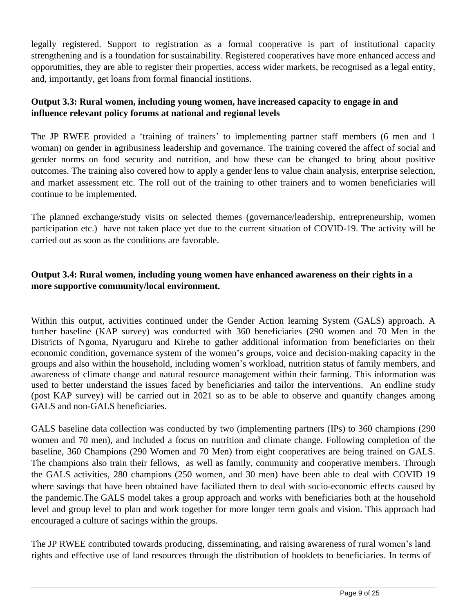legally registered. Support to registration as a formal cooperative is part of institutional capacity strengthening and is a foundation for sustainability. Registered cooperatives have more enhanced access and opporutnities, they are able to register their properties, access wider markets, be recognised as a legal entity, and, importantly, get loans from formal financial institions.

## **Output 3.3: Rural women, including young women, have increased capacity to engage in and influence relevant policy forums at national and regional levels**

The JP RWEE provided a 'training of trainers' to implementing partner staff members (6 men and 1 woman) on gender in agribusiness leadership and governance. The training covered the affect of social and gender norms on food security and nutrition, and how these can be changed to bring about positive outcomes. The training also covered how to apply a gender lens to value chain analysis, enterprise selection, and market assessment etc. The roll out of the training to other trainers and to women beneficiaries will continue to be implemented.

The planned exchange/study visits on selected themes (governance/leadership, entrepreneurship, women participation etc.) have not taken place yet due to the current situation of COVID-19. The activity will be carried out as soon as the conditions are favorable.

## **Output 3.4: Rural women, including young women have enhanced awareness on their rights in a more supportive community/local environment.**

Within this output, activities continued under the Gender Action learning System (GALS) approach. A further baseline (KAP survey) was conducted with 360 beneficiaries (290 women and 70 Men in the Districts of Ngoma, Nyaruguru and Kirehe to gather additional information from beneficiaries on their economic condition, governance system of the women's groups, voice and decision-making capacity in the groups and also within the household, including women's workload, nutrition status of family members, and awareness of climate change and natural resource management within their farming. This information was used to better understand the issues faced by beneficiaries and tailor the interventions. An endline study (post KAP survey) will be carried out in 2021 so as to be able to observe and quantify changes among GALS and non-GALS beneficiaries.

GALS baseline data collection was conducted by two (implementing partners (IPs) to 360 champions (290 women and 70 men), and included a focus on nutrition and climate change. Following completion of the baseline, 360 Champions (290 Women and 70 Men) from eight cooperatives are being trained on GALS. The champions also train their fellows, as well as family, community and cooperative members. Through the GALS activities, 280 champions (250 women, and 30 men) have been able to deal with COVID 19 where savings that have been obtained have faciliated them to deal with socio-economic effects caused by the pandemic.The GALS model takes a group approach and works with beneficiaries both at the household level and group level to plan and work together for more longer term goals and vision. This approach had encouraged a culture of sacings within the groups.

The JP RWEE contributed towards producing, disseminating, and raising awareness of rural women's land rights and effective use of land resources through the distribution of booklets to beneficiaries. In terms of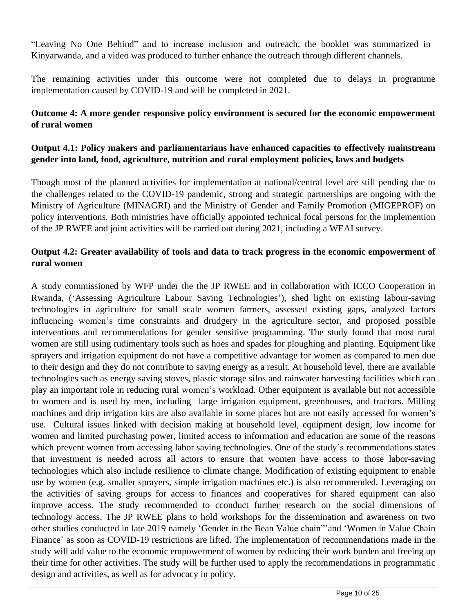"Leaving No One Behind" and to increase inclusion and outreach, the booklet was summarized in Kinyarwanda, and a video was produced to further enhance the outreach through different channels.

The remaining activities under this outcome were not completed due to delays in programme implementation caused by COVID-19 and will be completed in 2021.

#### **Outcome 4: A more gender responsive policy environment is secured for the economic empowerment of rural women**

#### **Output 4.1: Policy makers and parliamentarians have enhanced capacities to effectively mainstream gender into land, food, agriculture, nutrition and rural employment policies, laws and budgets**

Though most of the planned activities for implementation at national/central level are still pending due to the challenges related to the COVID-19 pandemic, strong and strategic partnerships are ongoing with the Ministry of Agriculture (MINAGRI) and the Ministry of Gender and Family Promotion (MIGEPROF) on policy interventions. Both ministries have officially appointed technical focal persons for the implemention of the JP RWEE and joint activities will be carried out during 2021, including a WEAI survey.

## **Output 4.2: Greater availability of tools and data to track progress in the economic empowerment of rural women**

A study commissioned by WFP under the the JP RWEE and in collaboration with ICCO Cooperation in Rwanda, ('Assessing Agriculture Labour Saving Technologies'), shed light on existing labour-saving technologies in agriculture for small scale women farmers, assessed existing gaps, analyzed factors influencing women's time constraints and drudgery in the agriculture sector, and proposed possible interventions and recommendations for gender sensitive programming. The study found that most rural women are still using rudimentary tools such as hoes and spades for ploughing and planting. Equipment like sprayers and irrigation equipment do not have a competitive advantage for women as compared to men due to their design and they do not contribute to saving energy as a result. At household level, there are available technologies such as energy saving stoves, plastic storage silos and rainwater harvesting facilities which can play an important role in reducing rural women's workload. Other equipment is available but not accessible to women and is used by men, including large irrigation equipment, greenhouses, and tractors. Milling machines and drip irrigation kits are also available in some places but are not easily accessed for women's use. Cultural issues linked with decision making at household level, equipment design, low income for women and limited purchasing power, limited access to information and education are some of the reasons which prevent women from accessing labor saving technologies. One of the study's recommendations states that investment is needed across all actors to ensure that women have access to those labor-saving technologies which also include resilience to climate change. Modification of existing equipment to enable use by women (e.g. smaller sprayers, simple irrigation machines etc.) is also recommended. Leveraging on the activities of saving groups for access to finances and cooperatives for shared equipment can also improve access. The study recommended to cconduct further research on the social dimensions of technology access. The JP RWEE plans to hold workshops for the dissemination and awareness on two other studies conducted in late 2019 namely 'Gender in the Bean Value chain"'and 'Women in Value Chain Finance' as soon as COVID-19 restrictions are lifted. The implementation of recommendations made in the study will add value to the economic empowerment of women by reducing their work burden and freeing up their time for other activities. The study will be further used to apply the recommendations in programmatic design and activities, as well as for advocacy in policy.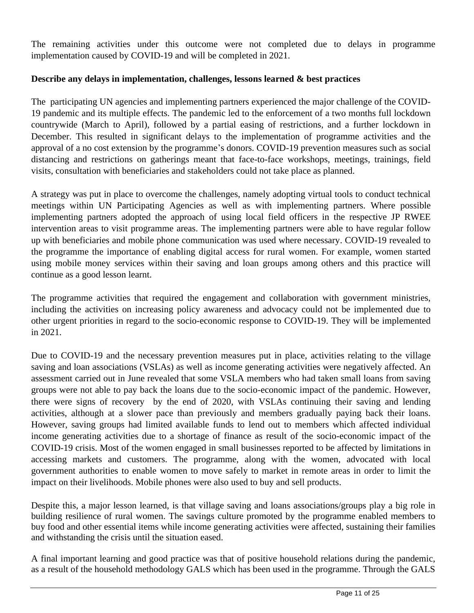The remaining activities under this outcome were not completed due to delays in programme implementation caused by COVID-19 and will be completed in 2021.

#### **Describe any delays in implementation, challenges, lessons learned & best practices**

The participating UN agencies and implementing partners experienced the major challenge of the COVID-19 pandemic and its multiple effects. The pandemic led to the enforcement of a two months full lockdown countrywide (March to April), followed by a partial easing of restrictions, and a further lockdown in December. This resulted in significant delays to the implementation of programme activities and the approval of a no cost extension by the programme's donors. COVID-19 prevention measures such as social distancing and restrictions on gatherings meant that face-to-face workshops, meetings, trainings, field visits, consultation with beneficiaries and stakeholders could not take place as planned.

A strategy was put in place to overcome the challenges, namely adopting virtual tools to conduct technical meetings within UN Participating Agencies as well as with implementing partners. Where possible implementing partners adopted the approach of using local field officers in the respective JP RWEE intervention areas to visit programme areas. The implementing partners were able to have regular follow up with beneficiaries and mobile phone communication was used where necessary. COVID-19 revealed to the programme the importance of enabling digital access for rural women. For example, women started using mobile money services within their saving and loan groups among others and this practice will continue as a good lesson learnt.

The programme activities that required the engagement and collaboration with government ministries, including the activities on increasing policy awareness and advocacy could not be implemented due to other urgent priorities in regard to the socio-economic response to COVID-19. They will be implemented in 2021.

Due to COVID-19 and the necessary prevention measures put in place, activities relating to the village saving and loan associations (VSLAs) as well as income generating activities were negatively affected. An assessment carried out in June revealed that some VSLA members who had taken small loans from saving groups were not able to pay back the loans due to the socio-economic impact of the pandemic. However, there were signs of recovery by the end of 2020, with VSLAs continuing their saving and lending activities, although at a slower pace than previously and members gradually paying back their loans. However, saving groups had limited available funds to lend out to members which affected individual income generating activities due to a shortage of finance as result of the socio-economic impact of the COVID-19 crisis. Most of the women engaged in small businesses reported to be affected by limitations in accessing markets and customers. The programme, along with the women, advocated with local government authorities to enable women to move safely to market in remote areas in order to limit the impact on their livelihoods. Mobile phones were also used to buy and sell products.

Despite this, a major lesson learned, is that village saving and loans associations/groups play a big role in building resilience of rural women. The savings culture promoted by the programme enabled members to buy food and other essential items while income generating activities were affected, sustaining their families and withstanding the crisis until the situation eased.

A final important learning and good practice was that of positive household relations during the pandemic, as a result of the household methodology GALS which has been used in the programme. Through the GALS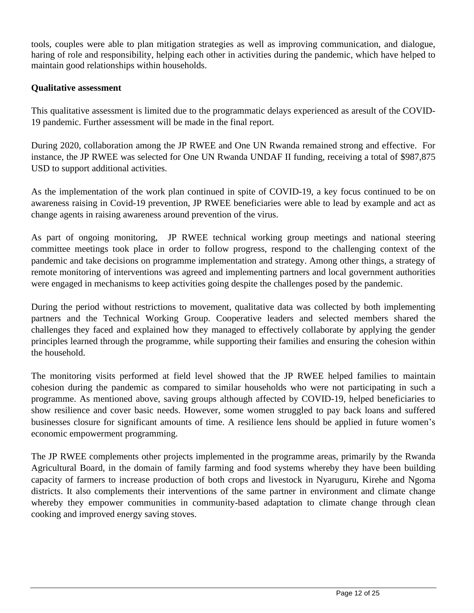tools, couples were able to plan mitigation strategies as well as improving communication, and dialogue, haring of role and responsibility, helping each other in activities during the pandemic, which have helped to maintain good relationships within households.

#### **Qualitative assessment**

This qualitative assessment is limited due to the programmatic delays experienced as aresult of the COVID-19 pandemic. Further assessment will be made in the final report.

During 2020, collaboration among the JP RWEE and One UN Rwanda remained strong and effective. For instance, the JP RWEE was selected for One UN Rwanda UNDAF II funding, receiving a total of \$987,875 USD to support additional activities.

As the implementation of the work plan continued in spite of COVID-19, a key focus continued to be on awareness raising in Covid-19 prevention, JP RWEE beneficiaries were able to lead by example and act as change agents in raising awareness around prevention of the virus.

As part of ongoing monitoring, JP RWEE technical working group meetings and national steering committee meetings took place in order to follow progress, respond to the challenging context of the pandemic and take decisions on programme implementation and strategy. Among other things, a strategy of remote monitoring of interventions was agreed and implementing partners and local government authorities were engaged in mechanisms to keep activities going despite the challenges posed by the pandemic.

During the period without restrictions to movement, qualitative data was collected by both implementing partners and the Technical Working Group. Cooperative leaders and selected members shared the challenges they faced and explained how they managed to effectively collaborate by applying the gender principles learned through the programme, while supporting their families and ensuring the cohesion within the household.

The monitoring visits performed at field level showed that the JP RWEE helped families to maintain cohesion during the pandemic as compared to similar households who were not participating in such a programme. As mentioned above, saving groups although affected by COVID-19, helped beneficiaries to show resilience and cover basic needs. However, some women struggled to pay back loans and suffered businesses closure for significant amounts of time. A resilience lens should be applied in future women's economic empowerment programming.

The JP RWEE complements other projects implemented in the programme areas, primarily by the Rwanda Agricultural Board, in the domain of family farming and food systems whereby they have been building capacity of farmers to increase production of both crops and livestock in Nyaruguru, Kirehe and Ngoma districts. It also complements their interventions of the same partner in environment and climate change whereby they empower communities in community-based adaptation to climate change through clean cooking and improved energy saving stoves.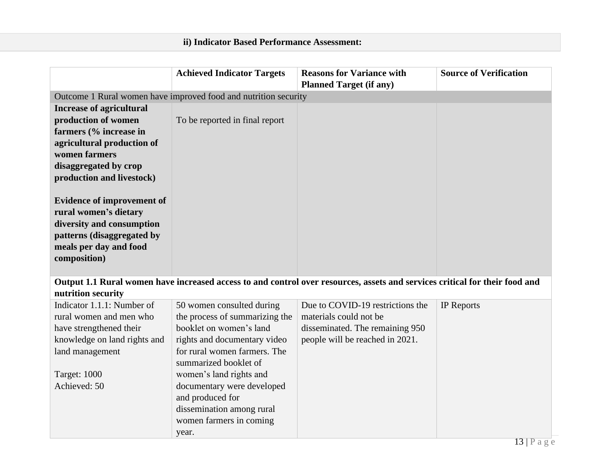# **ii) Indicator Based Performance Assessment:**

|                                   | <b>Achieved Indicator Targets</b>                               | <b>Reasons for Variance with</b>                                                                                            | <b>Source of Verification</b> |  |  |  |
|-----------------------------------|-----------------------------------------------------------------|-----------------------------------------------------------------------------------------------------------------------------|-------------------------------|--|--|--|
|                                   |                                                                 | <b>Planned Target (if any)</b>                                                                                              |                               |  |  |  |
|                                   | Outcome 1 Rural women have improved food and nutrition security |                                                                                                                             |                               |  |  |  |
| <b>Increase of agricultural</b>   |                                                                 |                                                                                                                             |                               |  |  |  |
| production of women               | To be reported in final report                                  |                                                                                                                             |                               |  |  |  |
| farmers (% increase in            |                                                                 |                                                                                                                             |                               |  |  |  |
| agricultural production of        |                                                                 |                                                                                                                             |                               |  |  |  |
| women farmers                     |                                                                 |                                                                                                                             |                               |  |  |  |
| disaggregated by crop             |                                                                 |                                                                                                                             |                               |  |  |  |
| production and livestock)         |                                                                 |                                                                                                                             |                               |  |  |  |
|                                   |                                                                 |                                                                                                                             |                               |  |  |  |
| <b>Evidence of improvement of</b> |                                                                 |                                                                                                                             |                               |  |  |  |
| rural women's dietary             |                                                                 |                                                                                                                             |                               |  |  |  |
| diversity and consumption         |                                                                 |                                                                                                                             |                               |  |  |  |
| patterns (disaggregated by        |                                                                 |                                                                                                                             |                               |  |  |  |
| meals per day and food            |                                                                 |                                                                                                                             |                               |  |  |  |
| composition)                      |                                                                 |                                                                                                                             |                               |  |  |  |
|                                   |                                                                 |                                                                                                                             |                               |  |  |  |
|                                   |                                                                 | Output 1.1 Rural women have increased access to and control over resources, assets and services critical for their food and |                               |  |  |  |
| nutrition security                |                                                                 |                                                                                                                             |                               |  |  |  |
| Indicator 1.1.1: Number of        | 50 women consulted during                                       | Due to COVID-19 restrictions the                                                                                            | <b>IP</b> Reports             |  |  |  |
| rural women and men who           | the process of summarizing the                                  | materials could not be                                                                                                      |                               |  |  |  |
| have strengthened their           | booklet on women's land                                         | disseminated. The remaining 950                                                                                             |                               |  |  |  |
| knowledge on land rights and      | rights and documentary video                                    | people will be reached in 2021.                                                                                             |                               |  |  |  |
| land management                   | for rural women farmers. The                                    |                                                                                                                             |                               |  |  |  |
|                                   | summarized booklet of                                           |                                                                                                                             |                               |  |  |  |
| Target: 1000                      | women's land rights and                                         |                                                                                                                             |                               |  |  |  |
| Achieved: 50                      | documentary were developed                                      |                                                                                                                             |                               |  |  |  |
|                                   | and produced for                                                |                                                                                                                             |                               |  |  |  |
|                                   | dissemination among rural                                       |                                                                                                                             |                               |  |  |  |
|                                   | women farmers in coming                                         |                                                                                                                             |                               |  |  |  |
|                                   | year.                                                           |                                                                                                                             |                               |  |  |  |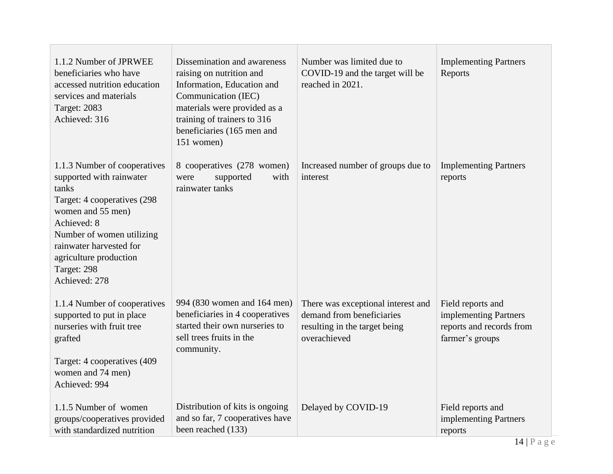| 1.1.2 Number of JPRWEE<br>beneficiaries who have<br>accessed nutrition education<br>services and materials<br><b>Target: 2083</b><br>Achieved: 316                                                                                                      | Dissemination and awareness<br>raising on nutrition and<br>Information, Education and<br>Communication (IEC)<br>materials were provided as a<br>training of trainers to 316<br>beneficiaries (165 men and<br>151 women) | Number was limited due to<br>COVID-19 and the target will be<br>reached in 2021.                                 | <b>Implementing Partners</b><br>Reports                                                   |
|---------------------------------------------------------------------------------------------------------------------------------------------------------------------------------------------------------------------------------------------------------|-------------------------------------------------------------------------------------------------------------------------------------------------------------------------------------------------------------------------|------------------------------------------------------------------------------------------------------------------|-------------------------------------------------------------------------------------------|
| 1.1.3 Number of cooperatives<br>supported with rainwater<br>tanks<br>Target: 4 cooperatives (298)<br>women and 55 men)<br>Achieved: 8<br>Number of women utilizing<br>rainwater harvested for<br>agriculture production<br>Target: 298<br>Achieved: 278 | 8 cooperatives (278 women)<br>supported<br>with<br>were<br>rainwater tanks                                                                                                                                              | Increased number of groups due to<br>interest                                                                    | <b>Implementing Partners</b><br>reports                                                   |
| 1.1.4 Number of cooperatives<br>supported to put in place<br>nurseries with fruit tree<br>grafted<br>Target: 4 cooperatives (409<br>women and 74 men)<br>Achieved: 994                                                                                  | 994 (830 women and 164 men)<br>beneficiaries in 4 cooperatives<br>started their own nurseries to<br>sell trees fruits in the<br>community.                                                                              | There was exceptional interest and<br>demand from beneficiaries<br>resulting in the target being<br>overachieved | Field reports and<br>implementing Partners<br>reports and records from<br>farmer's groups |
| 1.1.5 Number of women<br>groups/cooperatives provided<br>with standardized nutrition                                                                                                                                                                    | Distribution of kits is ongoing<br>and so far, 7 cooperatives have<br>been reached (133)                                                                                                                                | Delayed by COVID-19                                                                                              | Field reports and<br>implementing Partners<br>reports                                     |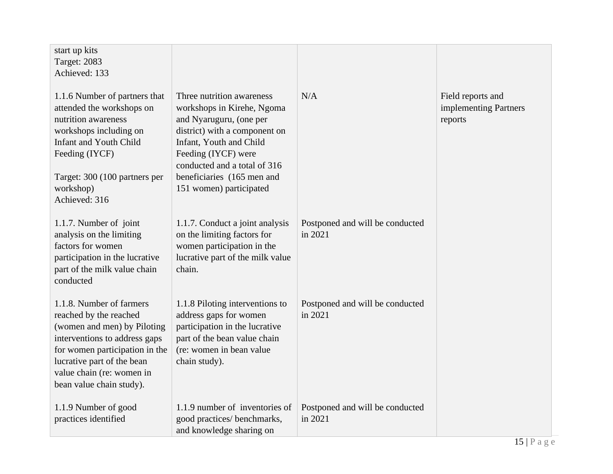| start up kits<br><b>Target: 2083</b><br>Achieved: 133                                                                                                                                                                                       |                                                                                                                                                                                                                                                                |                                            |                                                       |
|---------------------------------------------------------------------------------------------------------------------------------------------------------------------------------------------------------------------------------------------|----------------------------------------------------------------------------------------------------------------------------------------------------------------------------------------------------------------------------------------------------------------|--------------------------------------------|-------------------------------------------------------|
| 1.1.6 Number of partners that<br>attended the workshops on<br>nutrition awareness<br>workshops including on<br><b>Infant and Youth Child</b><br>Feeding (IYCF)<br>Target: 300 (100 partners per<br>workshop)<br>Achieved: 316               | Three nutrition awareness<br>workshops in Kirehe, Ngoma<br>and Nyaruguru, (one per<br>district) with a component on<br>Infant, Youth and Child<br>Feeding (IYCF) were<br>conducted and a total of 316<br>beneficiaries (165 men and<br>151 women) participated | N/A                                        | Field reports and<br>implementing Partners<br>reports |
| 1.1.7. Number of joint<br>analysis on the limiting<br>factors for women<br>participation in the lucrative<br>part of the milk value chain<br>conducted                                                                                      | 1.1.7. Conduct a joint analysis<br>on the limiting factors for<br>women participation in the<br>lucrative part of the milk value<br>chain.                                                                                                                     | Postponed and will be conducted<br>in 2021 |                                                       |
| 1.1.8. Number of farmers<br>reached by the reached<br>(women and men) by Piloting<br>interventions to address gaps<br>for women participation in the<br>lucrative part of the bean<br>value chain (re: women in<br>bean value chain study). | 1.1.8 Piloting interventions to<br>address gaps for women<br>participation in the lucrative<br>part of the bean value chain<br>(re: women in bean value)<br>chain study).                                                                                      | Postponed and will be conducted<br>in 2021 |                                                       |
| 1.1.9 Number of good<br>practices identified                                                                                                                                                                                                | 1.1.9 number of inventories of<br>good practices/ benchmarks,<br>and knowledge sharing on                                                                                                                                                                      | Postponed and will be conducted<br>in 2021 |                                                       |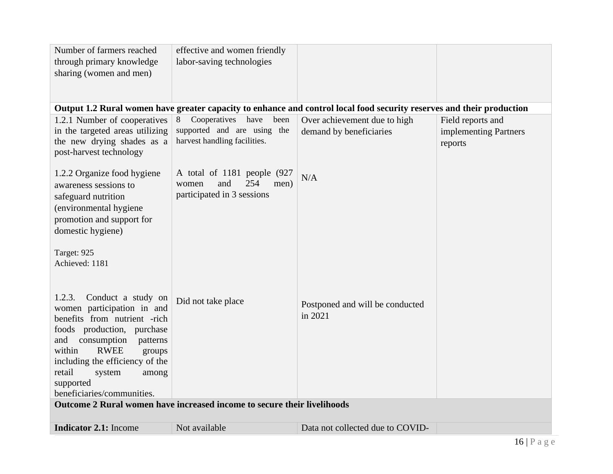| Number of farmers reached              | effective and women friendly                                            |                                                                                                                       |                       |
|----------------------------------------|-------------------------------------------------------------------------|-----------------------------------------------------------------------------------------------------------------------|-----------------------|
| through primary knowledge              | labor-saving technologies                                               |                                                                                                                       |                       |
| sharing (women and men)                |                                                                         |                                                                                                                       |                       |
|                                        |                                                                         |                                                                                                                       |                       |
|                                        |                                                                         |                                                                                                                       |                       |
|                                        |                                                                         | Output 1.2 Rural women have greater capacity to enhance and control local food security reserves and their production |                       |
| 1.2.1 Number of cooperatives           | Cooperatives have<br>8<br>been                                          | Over achievement due to high                                                                                          | Field reports and     |
| in the targeted areas utilizing        | supported and are using the                                             | demand by beneficiaries                                                                                               | implementing Partners |
| the new drying shades as a             | harvest handling facilities.                                            |                                                                                                                       | reports               |
| post-harvest technology                |                                                                         |                                                                                                                       |                       |
|                                        |                                                                         |                                                                                                                       |                       |
| 1.2.2 Organize food hygiene            | A total of 1181 people (927                                             | N/A                                                                                                                   |                       |
| awareness sessions to                  | 254<br>women<br>and<br>men)<br>participated in 3 sessions               |                                                                                                                       |                       |
| safeguard nutrition                    |                                                                         |                                                                                                                       |                       |
| (environmental hygiene                 |                                                                         |                                                                                                                       |                       |
| promotion and support for              |                                                                         |                                                                                                                       |                       |
| domestic hygiene)                      |                                                                         |                                                                                                                       |                       |
| Target: 925                            |                                                                         |                                                                                                                       |                       |
| Achieved: 1181                         |                                                                         |                                                                                                                       |                       |
|                                        |                                                                         |                                                                                                                       |                       |
|                                        |                                                                         |                                                                                                                       |                       |
| 1.2.3.<br>Conduct a study on           |                                                                         |                                                                                                                       |                       |
| women participation in and             | Did not take place                                                      | Postponed and will be conducted                                                                                       |                       |
| benefits from nutrient -rich           |                                                                         | in 2021                                                                                                               |                       |
| foods production, purchase             |                                                                         |                                                                                                                       |                       |
| consumption<br>and<br>patterns         |                                                                         |                                                                                                                       |                       |
| within<br><b>RWEE</b><br>groups        |                                                                         |                                                                                                                       |                       |
| including the efficiency of the        |                                                                         |                                                                                                                       |                       |
| retail<br>system<br>among<br>supported |                                                                         |                                                                                                                       |                       |
| beneficiaries/communities.             |                                                                         |                                                                                                                       |                       |
|                                        | Outcome 2 Rural women have increased income to secure their livelihoods |                                                                                                                       |                       |
|                                        |                                                                         |                                                                                                                       |                       |
| <b>Indicator 2.1:</b> Income           | Not available                                                           | Data not collected due to COVID-                                                                                      |                       |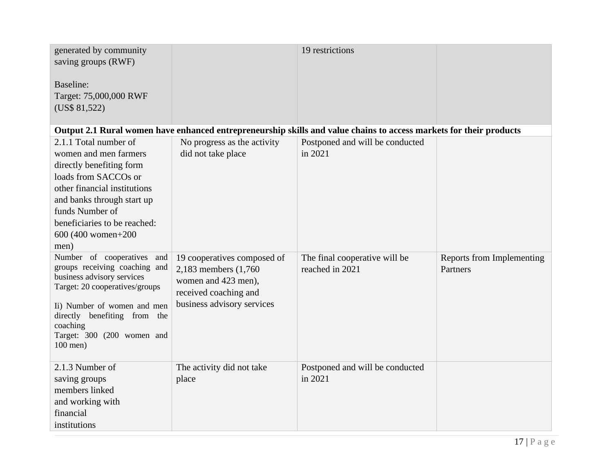| generated by community<br>saving groups (RWF)<br>Baseline:<br>Target: 75,000,000 RWF<br>(US\$ 81,522)                                                                                                                                                 |                                                                                                                                    | 19 restrictions                                                                                                    |                                       |
|-------------------------------------------------------------------------------------------------------------------------------------------------------------------------------------------------------------------------------------------------------|------------------------------------------------------------------------------------------------------------------------------------|--------------------------------------------------------------------------------------------------------------------|---------------------------------------|
|                                                                                                                                                                                                                                                       |                                                                                                                                    | Output 2.1 Rural women have enhanced entrepreneurship skills and value chains to access markets for their products |                                       |
| 2.1.1 Total number of<br>women and men farmers<br>directly benefiting form<br>loads from SACCOs or<br>other financial institutions<br>and banks through start up<br>funds Number of<br>beneficiaries to be reached:<br>600 (400 women+200<br>men)     | No progress as the activity<br>did not take place                                                                                  | Postponed and will be conducted<br>in 2021                                                                         |                                       |
| Number of cooperatives<br>and<br>groups receiving coaching and<br>business advisory services<br>Target: 20 cooperatives/groups<br>Ii) Number of women and men<br>directly benefiting from the<br>coaching<br>Target: 300 (200 women and<br>$100$ men) | 19 cooperatives composed of<br>2,183 members (1,760)<br>women and 423 men),<br>received coaching and<br>business advisory services | The final cooperative will be<br>reached in 2021                                                                   | Reports from Implementing<br>Partners |
| 2.1.3 Number of<br>saving groups<br>members linked<br>and working with<br>financial<br>institutions                                                                                                                                                   | The activity did not take<br>place                                                                                                 | Postponed and will be conducted<br>in 2021                                                                         |                                       |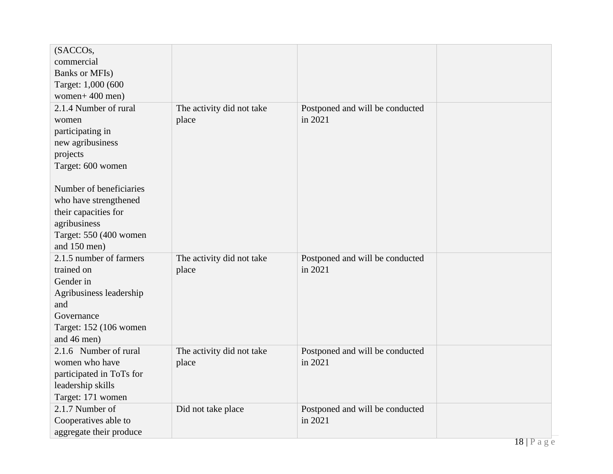| (SACCOs,<br>commercial<br><b>Banks or MFIs)</b><br>Target: 1,000 (600                                                                       |                                    |                                            |        |
|---------------------------------------------------------------------------------------------------------------------------------------------|------------------------------------|--------------------------------------------|--------|
| women+ $400$ men)                                                                                                                           |                                    |                                            |        |
| 2.1.4 Number of rural<br>women<br>participating in<br>new agribusiness<br>projects<br>Target: 600 women                                     | The activity did not take<br>place | Postponed and will be conducted<br>in 2021 |        |
| Number of beneficiaries<br>who have strengthened<br>their capacities for<br>agribusiness<br>Target: 550 (400 women<br>and 150 men)          |                                    |                                            |        |
| 2.1.5 number of farmers<br>trained on<br>Gender in<br>Agribusiness leadership<br>and<br>Governance<br>Target: 152 (106 women<br>and 46 men) | The activity did not take<br>place | Postponed and will be conducted<br>in 2021 |        |
| 2.1.6 Number of rural<br>women who have<br>participated in ToTs for<br>leadership skills<br>Target: 171 women                               | The activity did not take<br>place | Postponed and will be conducted<br>in 2021 |        |
| 2.1.7 Number of<br>Cooperatives able to<br>aggregate their produce                                                                          | Did not take place                 | Postponed and will be conducted<br>in 2021 | $10-D$ |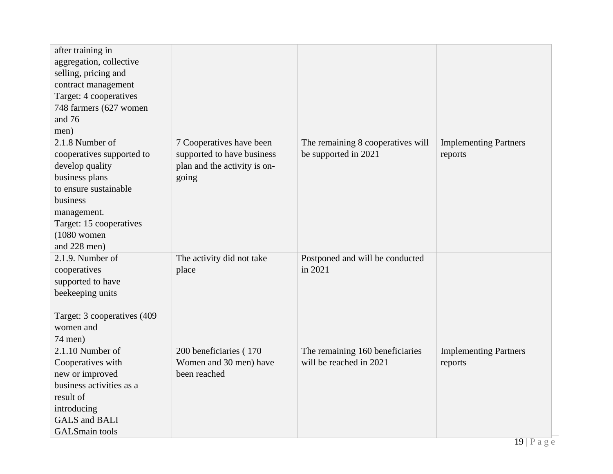| after training in<br>aggregation, collective<br>selling, pricing and<br>contract management<br>Target: 4 cooperatives<br>748 farmers (627 women<br>and 76<br>men)                                 |                                                                                                 |                                                            |                                         |
|---------------------------------------------------------------------------------------------------------------------------------------------------------------------------------------------------|-------------------------------------------------------------------------------------------------|------------------------------------------------------------|-----------------------------------------|
| 2.1.8 Number of<br>cooperatives supported to<br>develop quality<br>business plans<br>to ensure sustainable<br>business<br>management.<br>Target: 15 cooperatives<br>$(1080$ women<br>and 228 men) | 7 Cooperatives have been<br>supported to have business<br>plan and the activity is on-<br>going | The remaining 8 cooperatives will<br>be supported in 2021  | <b>Implementing Partners</b><br>reports |
| $2.1.9$ . Number of<br>cooperatives<br>supported to have<br>beekeeping units<br>Target: 3 cooperatives (409<br>women and<br>74 men)                                                               | The activity did not take<br>place                                                              | Postponed and will be conducted<br>in 2021                 |                                         |
| 2.1.10 Number of<br>Cooperatives with<br>new or improved<br>business activities as a<br>result of<br>introducing<br><b>GALS</b> and <b>BALI</b><br><b>GALSmain</b> tools                          | 200 beneficiaries (170)<br>Women and 30 men) have<br>been reached                               | The remaining 160 beneficiaries<br>will be reached in 2021 | <b>Implementing Partners</b><br>reports |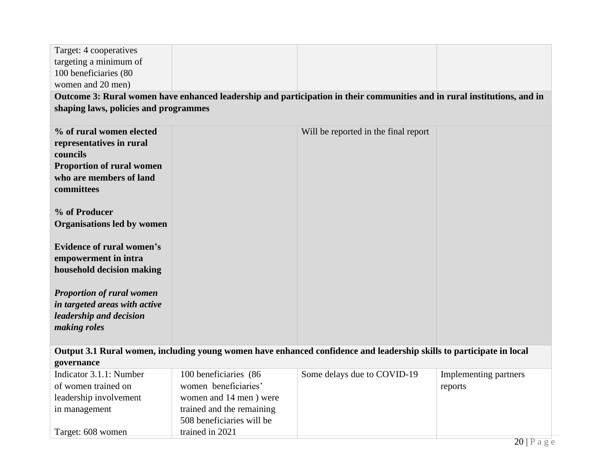| Target: 4 cooperatives                |                           |                                                                                                                          |                       |
|---------------------------------------|---------------------------|--------------------------------------------------------------------------------------------------------------------------|-----------------------|
| targeting a minimum of                |                           |                                                                                                                          |                       |
| 100 beneficiaries (80                 |                           |                                                                                                                          |                       |
| women and 20 men)                     |                           |                                                                                                                          |                       |
|                                       |                           | Outcome 3: Rural women have enhanced leadership and participation in their communities and in rural institutions, and in |                       |
| shaping laws, policies and programmes |                           |                                                                                                                          |                       |
|                                       |                           |                                                                                                                          |                       |
| % of rural women elected              |                           | Will be reported in the final report                                                                                     |                       |
| representatives in rural              |                           |                                                                                                                          |                       |
| councils                              |                           |                                                                                                                          |                       |
| <b>Proportion of rural women</b>      |                           |                                                                                                                          |                       |
| who are members of land               |                           |                                                                                                                          |                       |
| committees                            |                           |                                                                                                                          |                       |
|                                       |                           |                                                                                                                          |                       |
| % of Producer                         |                           |                                                                                                                          |                       |
| <b>Organisations led by women</b>     |                           |                                                                                                                          |                       |
| <b>Evidence of rural women's</b>      |                           |                                                                                                                          |                       |
| empowerment in intra                  |                           |                                                                                                                          |                       |
| household decision making             |                           |                                                                                                                          |                       |
|                                       |                           |                                                                                                                          |                       |
| <b>Proportion of rural women</b>      |                           |                                                                                                                          |                       |
| in targeted areas with active         |                           |                                                                                                                          |                       |
| leadership and decision               |                           |                                                                                                                          |                       |
| making roles                          |                           |                                                                                                                          |                       |
|                                       |                           |                                                                                                                          |                       |
|                                       |                           | Output 3.1 Rural women, including young women have enhanced confidence and leadership skills to participate in local     |                       |
| governance                            |                           |                                                                                                                          |                       |
| Indicator 3.1.1: Number               | 100 beneficiaries (86     | Some delays due to COVID-19                                                                                              | Implementing partners |
| of women trained on                   | women beneficiaries'      |                                                                                                                          | reports               |
| leadership involvement                | women and 14 men) were    |                                                                                                                          |                       |
| in management                         | trained and the remaining |                                                                                                                          |                       |
|                                       | 508 beneficiaries will be |                                                                                                                          |                       |
| Target: 608 women                     | trained in 2021           |                                                                                                                          |                       |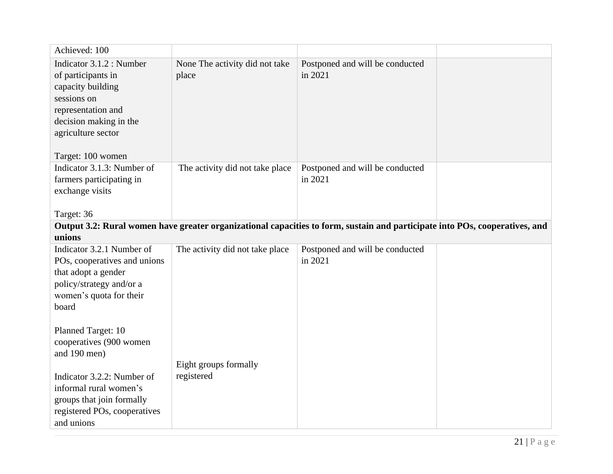| Achieved: 100                                                                                                                                                                 |                                         |                                            |  |  |
|-------------------------------------------------------------------------------------------------------------------------------------------------------------------------------|-----------------------------------------|--------------------------------------------|--|--|
| Indicator 3.1.2 : Number<br>of participants in<br>capacity building<br>sessions on<br>representation and<br>decision making in the<br>agriculture sector<br>Target: 100 women | None The activity did not take<br>place | Postponed and will be conducted<br>in 2021 |  |  |
| Indicator 3.1.3: Number of<br>farmers participating in<br>exchange visits<br>Target: 36                                                                                       | The activity did not take place         | Postponed and will be conducted<br>in 2021 |  |  |
| Output 3.2: Rural women have greater organizational capacities to form, sustain and participate into POs, cooperatives, and<br>unions                                         |                                         |                                            |  |  |
| Indicator 3.2.1 Number of<br>POs, cooperatives and unions<br>that adopt a gender<br>policy/strategy and/or a<br>women's quota for their<br>board                              | The activity did not take place         | Postponed and will be conducted<br>in 2021 |  |  |
| Planned Target: 10<br>cooperatives (900 women<br>and 190 men)<br>Indicator 3.2.2: Number of                                                                                   | Eight groups formally<br>registered     |                                            |  |  |
| informal rural women's<br>groups that join formally<br>registered POs, cooperatives                                                                                           |                                         |                                            |  |  |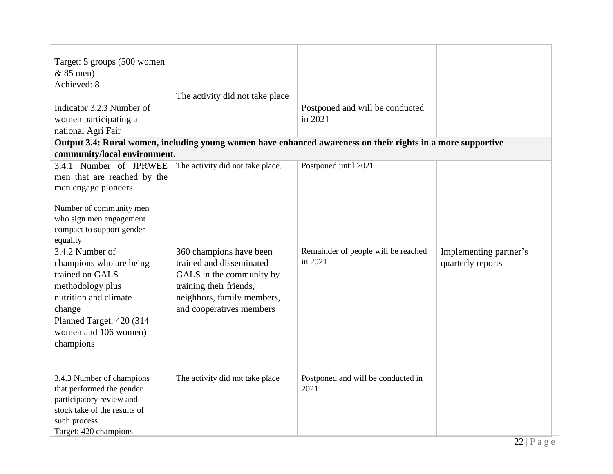| Target: 5 groups (500 women<br>$& 85$ men)<br>Achieved: 8<br>Indicator 3.2.3 Number of<br>women participating a<br>national Agri Fair                                                  | The activity did not take place                                                                                                                                      | Postponed and will be conducted<br>in 2021                                                                  |                                             |
|----------------------------------------------------------------------------------------------------------------------------------------------------------------------------------------|----------------------------------------------------------------------------------------------------------------------------------------------------------------------|-------------------------------------------------------------------------------------------------------------|---------------------------------------------|
| community/local environment.                                                                                                                                                           |                                                                                                                                                                      | Output 3.4: Rural women, including young women have enhanced awareness on their rights in a more supportive |                                             |
| 3.4.1 Number of JPRWEE<br>men that are reached by the<br>men engage pioneers<br>Number of community men<br>who sign men engagement<br>compact to support gender<br>equality            | The activity did not take place.                                                                                                                                     | Postponed until 2021                                                                                        |                                             |
| 3.4.2 Number of<br>champions who are being<br>trained on GALS<br>methodology plus<br>nutrition and climate<br>change<br>Planned Target: 420 (314)<br>women and 106 women)<br>champions | 360 champions have been<br>trained and disseminated<br>GALS in the community by<br>training their friends,<br>neighbors, family members,<br>and cooperatives members | Remainder of people will be reached<br>in 2021                                                              | Implementing partner's<br>quarterly reports |
| 3.4.3 Number of champions<br>that performed the gender<br>participatory review and<br>stock take of the results of<br>such process<br>Target: 420 champions                            | The activity did not take place                                                                                                                                      | Postponed and will be conducted in<br>2021                                                                  |                                             |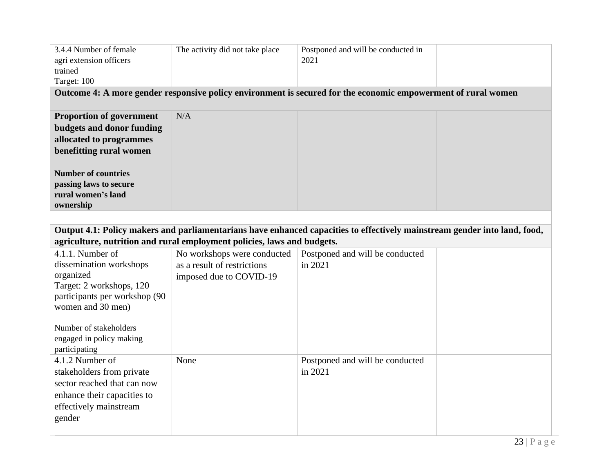| 3.4.4 Number of female<br>agri extension officers<br>trained<br>Target: 100                                                                                                                          | The activity did not take place                                                       | Postponed and will be conducted in<br>2021 |  |  |  |  |
|------------------------------------------------------------------------------------------------------------------------------------------------------------------------------------------------------|---------------------------------------------------------------------------------------|--------------------------------------------|--|--|--|--|
| Outcome 4: A more gender responsive policy environment is secured for the economic empowerment of rural women                                                                                        |                                                                                       |                                            |  |  |  |  |
| <b>Proportion of government</b><br>budgets and donor funding<br>allocated to programmes<br>benefitting rural women                                                                                   | N/A                                                                                   |                                            |  |  |  |  |
| <b>Number of countries</b><br>passing laws to secure<br>rural women's land<br>ownership                                                                                                              |                                                                                       |                                            |  |  |  |  |
|                                                                                                                                                                                                      |                                                                                       |                                            |  |  |  |  |
| Output 4.1: Policy makers and parliamentarians have enhanced capacities to effectively mainstream gender into land, food,<br>agriculture, nutrition and rural employment policies, laws and budgets. |                                                                                       |                                            |  |  |  |  |
| 4.1.1. Number of<br>dissemination workshops<br>organized<br>Target: 2 workshops, 120<br>participants per workshop (90<br>women and 30 men)                                                           | No workshops were conducted<br>as a result of restrictions<br>imposed due to COVID-19 | Postponed and will be conducted<br>in 2021 |  |  |  |  |
| Number of stakeholders<br>engaged in policy making<br>participating                                                                                                                                  |                                                                                       |                                            |  |  |  |  |
| 4.1.2 Number of<br>stakeholders from private<br>sector reached that can now<br>enhance their capacities to<br>effectively mainstream<br>gender                                                       | None                                                                                  | Postponed and will be conducted<br>in 2021 |  |  |  |  |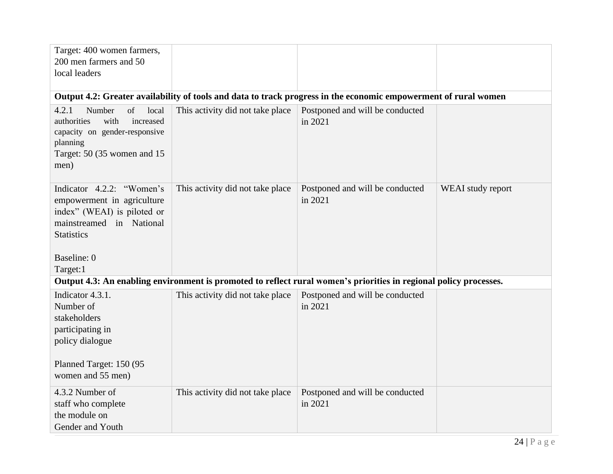| Target: 400 women farmers,<br>200 men farmers and 50<br>local leaders                                                                                              |                                  |                                            |                   |  |  |  |
|--------------------------------------------------------------------------------------------------------------------------------------------------------------------|----------------------------------|--------------------------------------------|-------------------|--|--|--|
| Output 4.2: Greater availability of tools and data to track progress in the economic empowerment of rural women                                                    |                                  |                                            |                   |  |  |  |
| 4.2.1<br>Number<br>of<br>local<br>increased<br>authorities<br>with<br>capacity on gender-responsive<br>planning<br>Target: 50 (35 women and 15<br>men)             | This activity did not take place | Postponed and will be conducted<br>in 2021 |                   |  |  |  |
| Indicator 4.2.2: "Women's<br>empowerment in agriculture<br>index" (WEAI) is piloted or<br>mainstreamed in National<br><b>Statistics</b><br>Baseline: 0<br>Target:1 | This activity did not take place | Postponed and will be conducted<br>in 2021 | WEAI study report |  |  |  |
| Output 4.3: An enabling environment is promoted to reflect rural women's priorities in regional policy processes.                                                  |                                  |                                            |                   |  |  |  |
| Indicator 4.3.1.<br>Number of<br>stakeholders<br>participating in<br>policy dialogue<br>Planned Target: 150 (95)<br>women and 55 men)                              | This activity did not take place | Postponed and will be conducted<br>in 2021 |                   |  |  |  |
| 4.3.2 Number of<br>staff who complete<br>the module on<br>Gender and Youth                                                                                         | This activity did not take place | Postponed and will be conducted<br>in 2021 |                   |  |  |  |